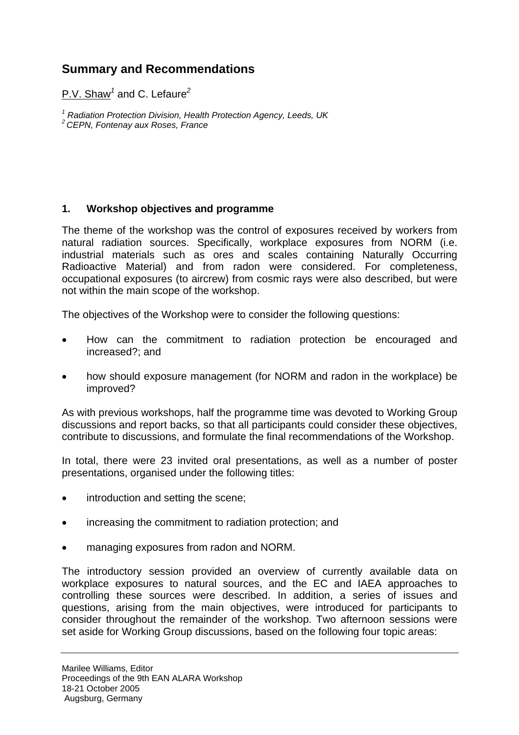# **Summary and Recommendations**

P.V. Shaw*<sup>1</sup>* and C. Lefaure*<sup>2</sup>*

<sup>1</sup> Radiation Protection Division, Health Protection Agency, Leeds, UK<br><sup>2</sup> CEPN, Fontenay aux Roses, France

# **1. Workshop objectives and programme**

The theme of the workshop was the control of exposures received by workers from natural radiation sources. Specifically, workplace exposures from NORM (i.e. industrial materials such as ores and scales containing Naturally Occurring Radioactive Material) and from radon were considered. For completeness, occupational exposures (to aircrew) from cosmic rays were also described, but were not within the main scope of the workshop.

The objectives of the Workshop were to consider the following questions:

- How can the commitment to radiation protection be encouraged and increased?; and
- how should exposure management (for NORM and radon in the workplace) be improved?

As with previous workshops, half the programme time was devoted to Working Group discussions and report backs, so that all participants could consider these objectives, contribute to discussions, and formulate the final recommendations of the Workshop.

In total, there were 23 invited oral presentations, as well as a number of poster presentations, organised under the following titles:

- introduction and setting the scene;
- increasing the commitment to radiation protection; and
- managing exposures from radon and NORM.

The introductory session provided an overview of currently available data on workplace exposures to natural sources, and the EC and IAEA approaches to controlling these sources were described. In addition, a series of issues and questions, arising from the main objectives, were introduced for participants to consider throughout the remainder of the workshop. Two afternoon sessions were set aside for Working Group discussions, based on the following four topic areas: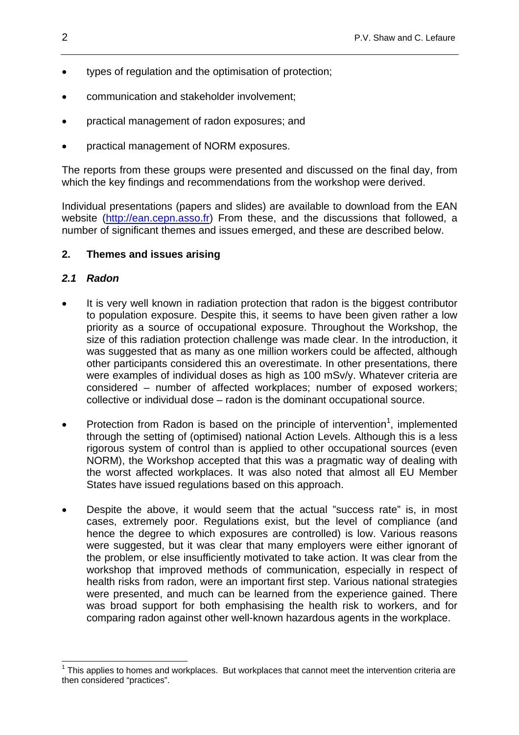- types of regulation and the optimisation of protection;
- communication and stakeholder involvement;
- practical management of radon exposures; and
- practical management of NORM exposures.

The reports from these groups were presented and discussed on the final day, from which the key findings and recommendations from the workshop were derived.

Individual presentations (papers and slides) are available to download from the EAN website (http://ean.cepn.asso.fr) From these, and the discussions that followed, a number of significant themes and issues emerged, and these are described below.

### **2. Themes and issues arising**

### *2.1 Radon*

- It is very well known in radiation protection that radon is the biggest contributor to population exposure. Despite this, it seems to have been given rather a low priority as a source of occupational exposure. Throughout the Workshop, the size of this radiation protection challenge was made clear. In the introduction, it was suggested that as many as one million workers could be affected, although other participants considered this an overestimate. In other presentations, there were examples of individual doses as high as 100 mSv/y. Whatever criteria are considered – number of affected workplaces; number of exposed workers; collective or individual dose – radon is the dominant occupational source.
- Protection from Radon is based on the principle of intervention<sup>1</sup>, implemented through the setting of (optimised) national Action Levels. Although this is a less rigorous system of control than is applied to other occupational sources (even NORM), the Workshop accepted that this was a pragmatic way of dealing with the worst affected workplaces. It was also noted that almost all EU Member States have issued regulations based on this approach.
- Despite the above, it would seem that the actual "success rate" is, in most cases, extremely poor. Regulations exist, but the level of compliance (and hence the degree to which exposures are controlled) is low. Various reasons were suggested, but it was clear that many employers were either ignorant of the problem, or else insufficiently motivated to take action. It was clear from the workshop that improved methods of communication, especially in respect of health risks from radon, were an important first step. Various national strategies were presented, and much can be learned from the experience gained. There was broad support for both emphasising the health risk to workers, and for comparing radon against other well-known hazardous agents in the workplace.

 1 This applies to homes and workplaces. But workplaces that cannot meet the intervention criteria are then considered "practices".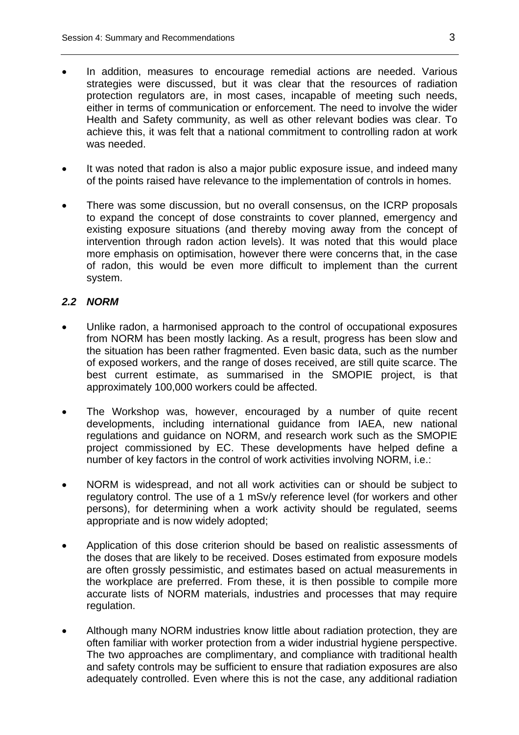- In addition, measures to encourage remedial actions are needed. Various strategies were discussed, but it was clear that the resources of radiation protection regulators are, in most cases, incapable of meeting such needs, either in terms of communication or enforcement. The need to involve the wider Health and Safety community, as well as other relevant bodies was clear. To achieve this, it was felt that a national commitment to controlling radon at work was needed.
- It was noted that radon is also a major public exposure issue, and indeed many of the points raised have relevance to the implementation of controls in homes.
- There was some discussion, but no overall consensus, on the ICRP proposals to expand the concept of dose constraints to cover planned, emergency and existing exposure situations (and thereby moving away from the concept of intervention through radon action levels). It was noted that this would place more emphasis on optimisation, however there were concerns that, in the case of radon, this would be even more difficult to implement than the current system.

## *2.2 NORM*

- Unlike radon, a harmonised approach to the control of occupational exposures from NORM has been mostly lacking. As a result, progress has been slow and the situation has been rather fragmented. Even basic data, such as the number of exposed workers, and the range of doses received, are still quite scarce. The best current estimate, as summarised in the SMOPIE project, is that approximately 100,000 workers could be affected.
- The Workshop was, however, encouraged by a number of quite recent developments, including international guidance from IAEA, new national regulations and guidance on NORM, and research work such as the SMOPIE project commissioned by EC. These developments have helped define a number of key factors in the control of work activities involving NORM, i.e.:
- NORM is widespread, and not all work activities can or should be subject to regulatory control. The use of a 1 mSv/y reference level (for workers and other persons), for determining when a work activity should be regulated, seems appropriate and is now widely adopted;
- Application of this dose criterion should be based on realistic assessments of the doses that are likely to be received. Doses estimated from exposure models are often grossly pessimistic, and estimates based on actual measurements in the workplace are preferred. From these, it is then possible to compile more accurate lists of NORM materials, industries and processes that may require regulation.
- Although many NORM industries know little about radiation protection, they are often familiar with worker protection from a wider industrial hygiene perspective. The two approaches are complimentary, and compliance with traditional health and safety controls may be sufficient to ensure that radiation exposures are also adequately controlled. Even where this is not the case, any additional radiation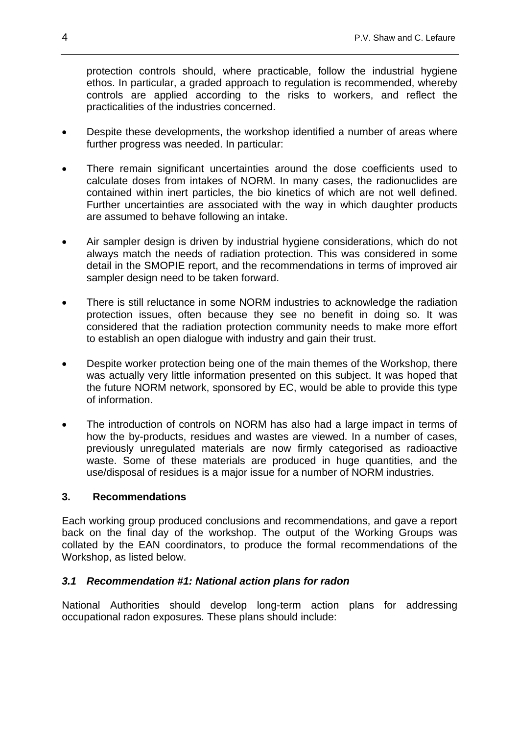protection controls should, where practicable, follow the industrial hygiene ethos. In particular, a graded approach to regulation is recommended, whereby controls are applied according to the risks to workers, and reflect the practicalities of the industries concerned.

- Despite these developments, the workshop identified a number of areas where further progress was needed. In particular:
- There remain significant uncertainties around the dose coefficients used to calculate doses from intakes of NORM. In many cases, the radionuclides are contained within inert particles, the bio kinetics of which are not well defined. Further uncertainties are associated with the way in which daughter products are assumed to behave following an intake.
- Air sampler design is driven by industrial hygiene considerations, which do not always match the needs of radiation protection. This was considered in some detail in the SMOPIE report, and the recommendations in terms of improved air sampler design need to be taken forward.
- There is still reluctance in some NORM industries to acknowledge the radiation protection issues, often because they see no benefit in doing so. It was considered that the radiation protection community needs to make more effort to establish an open dialogue with industry and gain their trust.
- Despite worker protection being one of the main themes of the Workshop, there was actually very little information presented on this subject. It was hoped that the future NORM network, sponsored by EC, would be able to provide this type of information.
- The introduction of controls on NORM has also had a large impact in terms of how the by-products, residues and wastes are viewed. In a number of cases, previously unregulated materials are now firmly categorised as radioactive waste. Some of these materials are produced in huge quantities, and the use/disposal of residues is a major issue for a number of NORM industries.

### **3. Recommendations**

Each working group produced conclusions and recommendations, and gave a report back on the final day of the workshop. The output of the Working Groups was collated by the EAN coordinators, to produce the formal recommendations of the Workshop, as listed below.

### *3.1 Recommendation #1: National action plans for radon*

National Authorities should develop long-term action plans for addressing occupational radon exposures. These plans should include: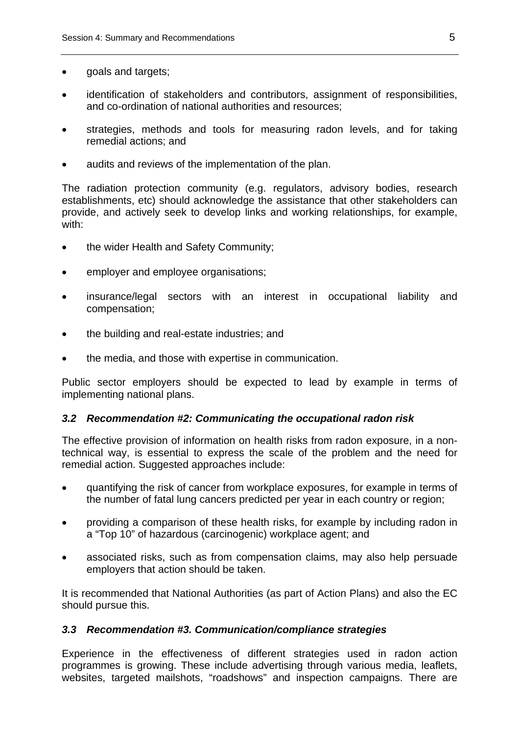- goals and targets;
- identification of stakeholders and contributors, assignment of responsibilities, and co-ordination of national authorities and resources;
- strategies, methods and tools for measuring radon levels, and for taking remedial actions; and
- audits and reviews of the implementation of the plan.

The radiation protection community (e.g. regulators, advisory bodies, research establishments, etc) should acknowledge the assistance that other stakeholders can provide, and actively seek to develop links and working relationships, for example, with:

- the wider Health and Safety Community;
- employer and employee organisations;
- insurance/legal sectors with an interest in occupational liability and compensation;
- the building and real-estate industries; and
- the media, and those with expertise in communication.

Public sector employers should be expected to lead by example in terms of implementing national plans.

#### *3.2 Recommendation #2: Communicating the occupational radon risk*

The effective provision of information on health risks from radon exposure, in a nontechnical way, is essential to express the scale of the problem and the need for remedial action. Suggested approaches include:

- quantifying the risk of cancer from workplace exposures, for example in terms of the number of fatal lung cancers predicted per year in each country or region;
- providing a comparison of these health risks, for example by including radon in a "Top 10" of hazardous (carcinogenic) workplace agent; and
- associated risks, such as from compensation claims, may also help persuade employers that action should be taken.

It is recommended that National Authorities (as part of Action Plans) and also the EC should pursue this.

#### *3.3 Recommendation #3. Communication/compliance strategies*

Experience in the effectiveness of different strategies used in radon action programmes is growing. These include advertising through various media, leaflets, websites, targeted mailshots, "roadshows" and inspection campaigns. There are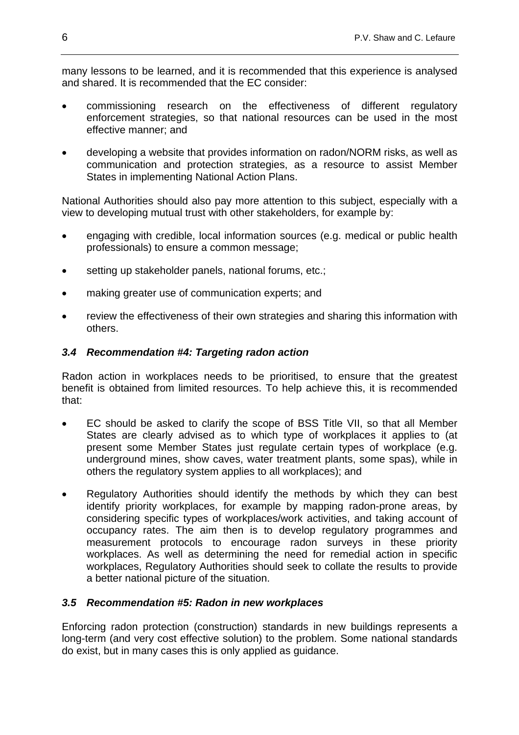many lessons to be learned, and it is recommended that this experience is analysed and shared. It is recommended that the EC consider:

- commissioning research on the effectiveness of different regulatory enforcement strategies, so that national resources can be used in the most effective manner; and
- developing a website that provides information on radon/NORM risks, as well as communication and protection strategies, as a resource to assist Member States in implementing National Action Plans.

National Authorities should also pay more attention to this subject, especially with a view to developing mutual trust with other stakeholders, for example by:

- engaging with credible, local information sources (e.g. medical or public health professionals) to ensure a common message;
- setting up stakeholder panels, national forums, etc.;
- making greater use of communication experts; and
- review the effectiveness of their own strategies and sharing this information with others.

### *3.4 Recommendation #4: Targeting radon action*

Radon action in workplaces needs to be prioritised, to ensure that the greatest benefit is obtained from limited resources. To help achieve this, it is recommended that:

- EC should be asked to clarify the scope of BSS Title VII, so that all Member States are clearly advised as to which type of workplaces it applies to (at present some Member States just regulate certain types of workplace (e.g. underground mines, show caves, water treatment plants, some spas), while in others the regulatory system applies to all workplaces); and
- Regulatory Authorities should identify the methods by which they can best identify priority workplaces, for example by mapping radon-prone areas, by considering specific types of workplaces/work activities, and taking account of occupancy rates. The aim then is to develop regulatory programmes and measurement protocols to encourage radon surveys in these priority workplaces. As well as determining the need for remedial action in specific workplaces, Regulatory Authorities should seek to collate the results to provide a better national picture of the situation.

### *3.5 Recommendation #5: Radon in new workplaces*

Enforcing radon protection (construction) standards in new buildings represents a long-term (and very cost effective solution) to the problem. Some national standards do exist, but in many cases this is only applied as guidance.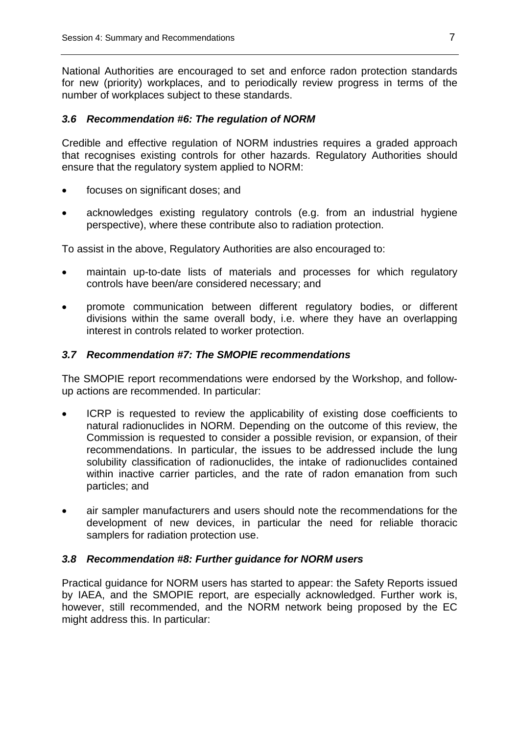National Authorities are encouraged to set and enforce radon protection standards for new (priority) workplaces, and to periodically review progress in terms of the number of workplaces subject to these standards.

### *3.6 Recommendation #6: The regulation of NORM*

Credible and effective regulation of NORM industries requires a graded approach that recognises existing controls for other hazards. Regulatory Authorities should ensure that the regulatory system applied to NORM:

- focuses on significant doses; and
- acknowledges existing regulatory controls (e.g. from an industrial hygiene perspective), where these contribute also to radiation protection.

To assist in the above, Regulatory Authorities are also encouraged to:

- maintain up-to-date lists of materials and processes for which regulatory controls have been/are considered necessary; and
- promote communication between different regulatory bodies, or different divisions within the same overall body, i.e. where they have an overlapping interest in controls related to worker protection.

### *3.7 Recommendation #7: The SMOPIE recommendations*

The SMOPIE report recommendations were endorsed by the Workshop, and followup actions are recommended. In particular:

- ICRP is requested to review the applicability of existing dose coefficients to natural radionuclides in NORM. Depending on the outcome of this review, the Commission is requested to consider a possible revision, or expansion, of their recommendations. In particular, the issues to be addressed include the lung solubility classification of radionuclides, the intake of radionuclides contained within inactive carrier particles, and the rate of radon emanation from such particles; and
- air sampler manufacturers and users should note the recommendations for the development of new devices, in particular the need for reliable thoracic samplers for radiation protection use.

#### *3.8 Recommendation #8: Further guidance for NORM users*

Practical guidance for NORM users has started to appear: the Safety Reports issued by IAEA, and the SMOPIE report, are especially acknowledged. Further work is, however, still recommended, and the NORM network being proposed by the EC might address this. In particular: